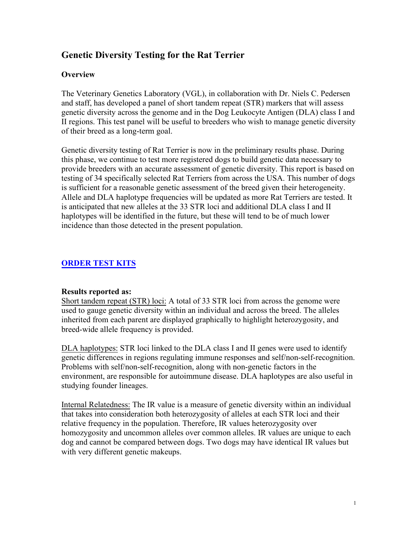# **Genetic Diversity Testing for the Rat Terrier**

## **Overview**

The Veterinary Genetics Laboratory (VGL), in collaboration with Dr. Niels C. Pedersen and staff, has developed a panel of short tandem repeat (STR) markers that will assess genetic diversity across the genome and in the Dog Leukocyte Antigen (DLA) class I and II regions. This test panel will be useful to breeders who wish to manage genetic diversity of their breed as a long-term goal.

Genetic diversity testing of Rat Terrier is now in the preliminary results phase. During this phase, we continue to test more registered dogs to build genetic data necessary to provide breeders with an accurate assessment of genetic diversity. This report is based on testing of 34 specifically selected Rat Terriers from across the USA. This number of dogs is sufficient for a reasonable genetic assessment of the breed given their heterogeneity. Allele and DLA haplotype frequencies will be updated as more Rat Terriers are tested. It is anticipated that new alleles at the 33 STR loci and additional DLA class I and II haplotypes will be identified in the future, but these will tend to be of much lower incidence than those detected in the present population.

## **[ORDER TEST KITS](https://www.vgl.ucdavis.edu/myvgl/dogsporder.html)**

#### **Results reported as:**

Short tandem repeat (STR) loci: A total of 33 STR loci from across the genome were used to gauge genetic diversity within an individual and across the breed. The alleles inherited from each parent are displayed graphically to highlight heterozygosity, and breed-wide allele frequency is provided.

DLA haplotypes: STR loci linked to the DLA class I and II genes were used to identify genetic differences in regions regulating immune responses and self/non-self-recognition. Problems with self/non-self-recognition, along with non-genetic factors in the environment, are responsible for autoimmune disease. DLA haplotypes are also useful in studying founder lineages.

Internal Relatedness: The IR value is a measure of genetic diversity within an individual that takes into consideration both heterozygosity of alleles at each STR loci and their relative frequency in the population. Therefore, IR values heterozygosity over homozygosity and uncommon alleles over common alleles. IR values are unique to each dog and cannot be compared between dogs. Two dogs may have identical IR values but with very different genetic makeups.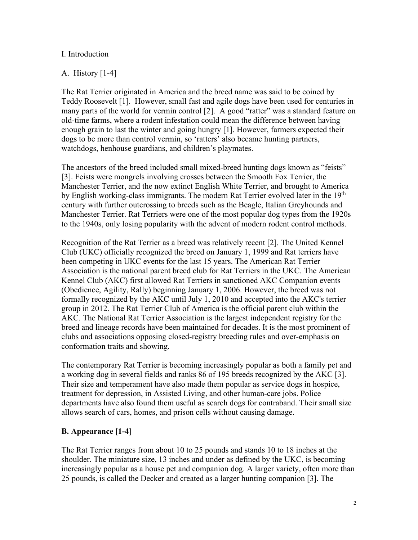#### I. Introduction

## A. History [1-4]

The Rat Terrier originated in America and the breed name was said to be coined by Teddy Roosevelt [1]. However, small fast and agile dogs have been used for centuries in many parts of the world for vermin control [2]. A good "ratter" was a standard feature on old-time farms, where a rodent infestation could mean the difference between having enough grain to last the winter and going hungry [1]. However, farmers expected their dogs to be more than control vermin, so 'ratters' also became hunting partners, watchdogs, henhouse guardians, and children's playmates.

The ancestors of the breed included small mixed-breed hunting dogs known as "feists" [3]. Feists were mongrels involving crosses between the Smooth Fox Terrier, the Manchester Terrier, and the now extinct English White Terrier, and brought to America by English working-class immigrants. The modern Rat Terrier evolved later in the 19<sup>th</sup> century with further outcrossing to breeds such as the Beagle, Italian Greyhounds and Manchester Terrier. Rat Terriers were one of the most popular dog types from the 1920s to the 1940s, only losing popularity with the advent of modern rodent control methods.

Recognition of the Rat Terrier as a breed was relatively recent [2]. The United Kennel Club (UKC) officially recognized the breed on January 1, 1999 and Rat terriers have been competing in UKC events for the last 15 years. The American Rat Terrier Association is the national parent breed club for Rat Terriers in the UKC. The American Kennel Club (AKC) first allowed Rat Terriers in sanctioned AKC Companion events (Obedience, Agility, Rally) beginning January 1, 2006. However, the breed was not formally recognized by the AKC until July 1, 2010 and accepted into the AKC's terrier group in 2012. The Rat Terrier Club of America is the official parent club within the AKC. The National Rat Terrier Association is the largest independent registry for the breed and lineage records have been maintained for decades. It is the most prominent of clubs and associations opposing closed-registry breeding rules and over-emphasis on conformation traits and showing.

The contemporary Rat Terrier is becoming increasingly popular as both a family pet and a working dog in several fields and ranks 86 of 195 breeds recognized by the AKC [3]. Their size and temperament have also made them popular as service dogs in hospice, treatment for depression, in Assisted Living, and other human-care jobs. Police departments have also found them useful as search dogs for contraband. Their small size allows search of cars, homes, and prison cells without causing damage.

## **B. Appearance [1-4]**

The Rat Terrier ranges from about 10 to 25 pounds and stands 10 to 18 inches at the shoulder. The miniature size, 13 inches and under as defined by the UKC, is becoming increasingly popular as a house pet and companion dog. A larger variety, often more than 25 pounds, is called the Decker and created as a larger hunting companion [3]. The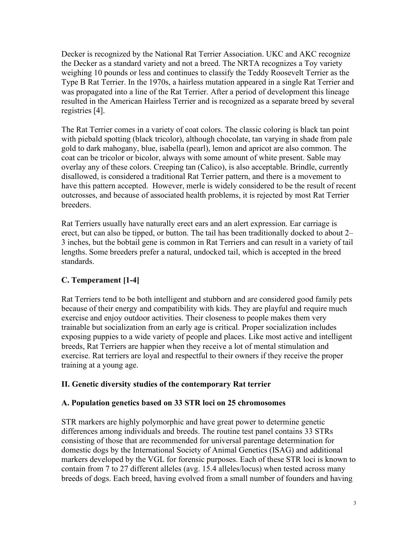Decker is recognized by the National Rat Terrier Association. UKC and AKC recognize the Decker as a standard variety and not a breed. The NRTA recognizes a Toy variety weighing 10 pounds or less and continues to classify the Teddy Roosevelt Terrier as the Type B Rat Terrier. In the 1970s, a hairless mutation appeared in a single Rat Terrier and was propagated into a line of the Rat Terrier. After a period of development this lineage resulted in the American Hairless Terrier and is recognized as a separate breed by several registries [4].

The Rat Terrier comes in a variety of coat colors. The classic coloring is black tan point with piebald spotting (black tricolor), although chocolate, tan varying in shade from pale gold to dark mahogany, blue, isabella (pearl), lemon and apricot are also common. The coat can be tricolor or bicolor, always with some amount of white present. Sable may overlay any of these colors. Creeping tan (Calico), is also acceptable. Brindle, currently disallowed, is considered a traditional Rat Terrier pattern, and there is a movement to have this pattern accepted. However, merle is widely considered to be the result of recent outcrosses, and because of associated health problems, it is rejected by most Rat Terrier breeders.

Rat Terriers usually have naturally erect ears and an alert expression. Ear carriage is erect, but can also be tipped, or button. The tail has been traditionally docked to about 2– 3 inches, but the bobtail gene is common in Rat Terriers and can result in a variety of tail lengths. Some breeders prefer a natural, undocked tail, which is accepted in the breed standards.

## **C. Temperament [1-4]**

Rat Terriers tend to be both intelligent and stubborn and are considered good family pets because of their energy and compatibility with kids. They are playful and require much exercise and enjoy outdoor activities. Their closeness to people makes them very trainable but socialization from an early age is critical. Proper socialization includes exposing puppies to a wide variety of people and places. Like most active and intelligent breeds, Rat Terriers are happier when they receive a lot of mental stimulation and exercise. Rat terriers are loyal and respectful to their owners if they receive the proper training at a young age.

## **II. Genetic diversity studies of the contemporary Rat terrier**

## **A. Population genetics based on 33 STR loci on 25 chromosomes**

STR markers are highly polymorphic and have great power to determine genetic differences among individuals and breeds. The routine test panel contains 33 STRs consisting of those that are recommended for universal parentage determination for domestic dogs by the International Society of Animal Genetics (ISAG) and additional markers developed by the VGL for forensic purposes. Each of these STR loci is known to contain from 7 to 27 different alleles (avg. 15.4 alleles/locus) when tested across many breeds of dogs. Each breed, having evolved from a small number of founders and having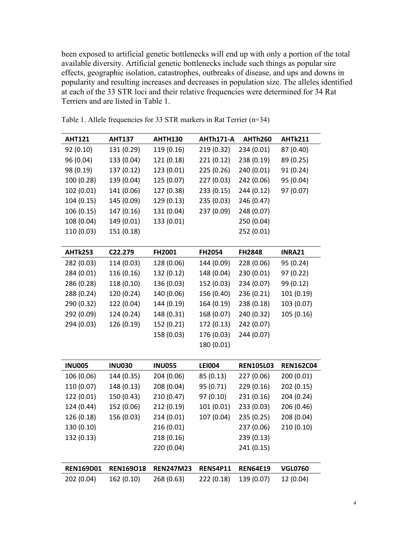been exposed to artificial genetic bottlenecks will end up with only a portion of the total available diversity. Artificial genetic bottlenecks include such things as popular sire effects, geographic isolation, catastrophes, outbreaks of disease, and ups and downs in popularity and resulting increases and decreases in population size. The alleles identified at each of the 33 STR loci and their relative frequencies were determined for 34 Rat Terriers and are listed in Table 1.

| <b>AHT121</b>    | <b>AHT137</b>    | <b>AHTH130</b>   | AHTh171-A       | <b>AHTh260</b>   | <b>AHTk211</b>   |
|------------------|------------------|------------------|-----------------|------------------|------------------|
| 92 (0.10)        | 131 (0.29)       | 119 (0.16)       | 219 (0.32)      | 234 (0.01)       | 87 (0.40)        |
| 96 (0.04)        | 133 (0.04)       | 121 (0.18)       | 221 (0.12)      | 238 (0.19)       | 89 (0.25)        |
| 98 (0.19)        | 137 (0.12)       | 123 (0.01)       | 225 (0.26)      | 240 (0.01)       | 91 (0.24)        |
| 100 (0.28)       | 139 (0.04)       | 125 (0.07)       | 227 (0.03)      | 242 (0.06)       | 95 (0.04)        |
| 102 (0.01)       | 141 (0.06)       | 127 (0.38)       | 233 (0.15)      | 244 (0.12)       | 97 (0.07)        |
| 104 (0.15)       | 145 (0.09)       | 129 (0.13)       | 235 (0.03)      | 246 (0.47)       |                  |
| 106 (0.15)       | 147 (0.16)       | 131 (0.04)       | 237 (0.09)      | 248 (0.07)       |                  |
| 108 (0.04)       | 149 (0.01)       | 133 (0.01)       |                 | 250 (0.04)       |                  |
| 110 (0.03)       | 151 (0.18)       |                  |                 | 252 (0.01)       |                  |
|                  |                  |                  |                 |                  |                  |
| <b>AHTk253</b>   | C22.279          | FH2001           | FH2054          | FH2848           | <b>INRA21</b>    |
| 282 (0.03)       | 114 (0.03)       | 128 (0.06)       | 144 (0.09)      | 228 (0.06)       | 95 (0.24)        |
| 284 (0.01)       | 116 (0.16)       | 132 (0.12)       | 148 (0.04)      | 230 (0.01)       | 97 (0.22)        |
| 286 (0.28)       | 118 (0.10)       | 136 (0.03)       | 152 (0.03)      | 234 (0.07)       | 99 (0.12)        |
| 288 (0.24)       | 120 (0.24)       | 140 (0.06)       | 156 (0.40)      | 236 (0.21)       | 101 (0.19)       |
| 290 (0.32)       | 122 (0.04)       | 144 (0.19)       | 164 (0.19)      | 238 (0.18)       | 103 (0.07)       |
| 292 (0.09)       | 124 (0.24)       | 148 (0.31)       | 168 (0.07)      | 240 (0.32)       | 105 (0.16)       |
| 294 (0.03)       | 126 (0.19)       | 152 (0.21)       | 172 (0.13)      | 242 (0.07)       |                  |
|                  |                  | 158 (0.03)       | 176 (0.03)      | 244 (0.07)       |                  |
|                  |                  |                  | 180 (0.01)      |                  |                  |
|                  |                  |                  |                 |                  |                  |
| <b>INU005</b>    | <b>INU030</b>    | <b>INU055</b>    | <b>LEI004</b>   | <b>REN105L03</b> | <b>REN162C04</b> |
| 106 (0.06)       | 144 (0.35)       | 204 (0.06)       | 85 (0.13)       | 227 (0.06)       | 200 (0.01)       |
| 110 (0.07)       | 148 (0.13)       | 208 (0.04)       | 95 (0.71)       | 229 (0.16)       | 202 (0.15)       |
| 122 (0.01)       | 150 (0.43)       | 210 (0.47)       | 97 (0.10)       | 231 (0.16)       | 204 (0.24)       |
| 124 (0.44)       | 152 (0.06)       | 212 (0.19)       | 101 (0.01)      | 233 (0.03)       | 206 (0.46)       |
| 126 (0.18)       | 156 (0.03)       | 214 (0.01)       | 107 (0.04)      | 235 (0.25)       | 208 (0.04)       |
| 130 (0.10)       |                  | 216 (0.01)       |                 | 237 (0.06)       | 210 (0.10)       |
| 132 (0.13)       |                  | 218 (0.16)       |                 | 239 (0.13)       |                  |
|                  |                  | 220 (0.04)       |                 | 241 (0.15)       |                  |
|                  |                  |                  |                 |                  |                  |
| <b>REN169D01</b> | <b>REN169018</b> | <b>REN247M23</b> | <b>REN54P11</b> | <b>REN64E19</b>  | <b>VGL0760</b>   |
| 202 (0.04)       | 162 (0.10)       | 268 (0.63)       | 222 (0.18)      | 139 (0.07)       | 12 (0.04)        |

Table 1. Allele frequencies for 33 STR markers in Rat Terrier (n=34)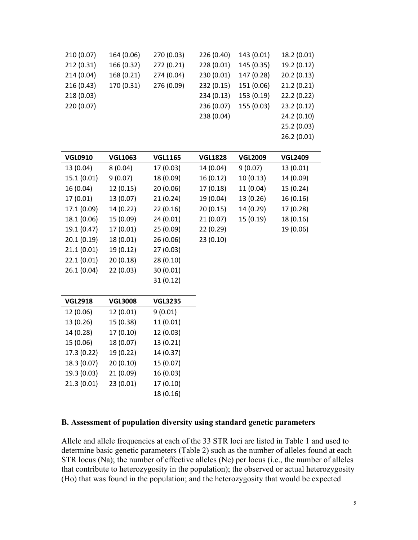| 210 (0.07) | 164 (0.06) | 270 (0.03) | 226 (0.40) | 143 (0.01) | 18.2(0.01)  |
|------------|------------|------------|------------|------------|-------------|
| 212(0.31)  | 166 (0.32) | 272 (0.21) | 228 (0.01) | 145 (0.35) | 19.2 (0.12) |
| 214(0.04)  | 168 (0.21) | 274 (0.04) | 230 (0.01) | 147 (0.28) | 20.2(0.13)  |
| 216(0.43)  | 170 (0.31) | 276 (0.09) | 232 (0.15) | 151 (0.06) | 21.2(0.21)  |
| 218(0.03)  |            |            | 234 (0.13) | 153 (0.19) | 22.2 (0.22) |
| 220 (0.07) |            |            | 236 (0.07) | 155 (0.03) | 23.2(0.12)  |
|            |            |            | 238 (0.04) |            | 24.2 (0.10) |
|            |            |            |            |            | 25.2 (0.03) |
|            |            |            |            |            | 26.2(0.01)  |
|            |            |            |            |            |             |

| <b>VGL0910</b> | <b>VGL1063</b> | <b>VGL1165</b> | <b>VGL1828</b> | <b>VGL2009</b> | <b>VGL2409</b> |
|----------------|----------------|----------------|----------------|----------------|----------------|
| 13 (0.04)      | 8(0.04)        | 17 (0.03)      | 14 (0.04)      | 9(0.07)        | 13 (0.01)      |
| 15.1(0.01)     | 9(0.07)        | 18 (0.09)      | 16(0.12)       | 10(0.13)       | 14 (0.09)      |
| 16 (0.04)      | 12(0.15)       | 20(0.06)       | 17 (0.18)      | 11 (0.04)      | 15 (0.24)      |
| 17 (0.01)      | 13 (0.07)      | 21(0.24)       | 19 (0.04)      | 13 (0.26)      | 16 (0.16)      |
| 17.1 (0.09)    | 14 (0.22)      | 22(0.16)       | 20 (0.15)      | 14 (0.29)      | 17 (0.28)      |
| 18.1 (0.06)    | 15 (0.09)      | 24(0.01)       | 21 (0.07)      | 15(0.19)       | 18 (0.16)      |
| 19.1 (0.47)    | 17(0.01)       | 25(0.09)       | 22(0.29)       |                | 19 (0.06)      |
| 20.1(0.19)     | 18 (0.01)      | 26 (0.06)      | 23 (0.10)      |                |                |
| 21.1(0.01)     | 19 (0.12)      | 27(0.03)       |                |                |                |
| 22.1(0.01)     | 20(0.18)       | 28 (0.10)      |                |                |                |
| 26.1(0.04)     | 22(0.03)       | 30(0.01)       |                |                |                |
|                |                | 31(0.12)       |                |                |                |
|                |                |                |                |                |                |
| <b>VGL2918</b> | <b>VGL3008</b> | <b>VGL3235</b> |                |                |                |
| 12 (0.06)      | 12 (0.01)      | 9(0.01)        |                |                |                |
| 13 (0.26)      | 15 (0.38)      | 11 (0.01)      |                |                |                |
| 14 (0.28)      | 17 (0.10)      | 12 (0.03)      |                |                |                |
| 15 (0.06)      | 18 (0.07)      | 13 (0.21)      |                |                |                |
| 17.3 (0.22)    | 19 (0.22)      | 14 (0.37)      |                |                |                |
| 18.3 (0.07)    | 20(0.10)       | 15 (0.07)      |                |                |                |
| 19.3 (0.03)    | 21(0.09)       | 16 (0.03)      |                |                |                |
| 21.3(0.01)     | 23(0.01)       | 17 (0.10)      |                |                |                |
|                |                | 18 (0.16)      |                |                |                |

#### **B. Assessment of population diversity using standard genetic parameters**

Allele and allele frequencies at each of the 33 STR loci are listed in Table 1 and used to determine basic genetic parameters (Table 2) such as the number of alleles found at each STR locus (Na); the number of effective alleles (Ne) per locus (i.e., the number of alleles that contribute to heterozygosity in the population); the observed or actual heterozygosity (Ho) that was found in the population; and the heterozygosity that would be expected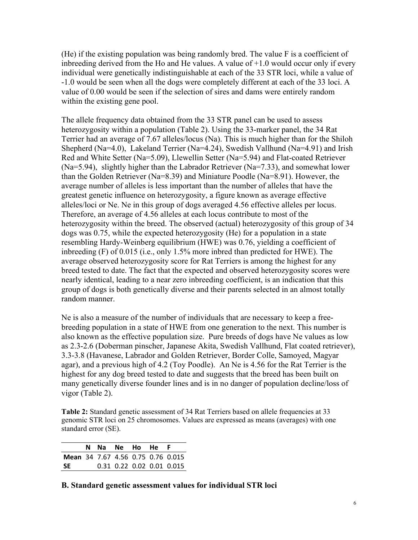(He) if the existing population was being randomly bred. The value F is a coefficient of inbreeding derived from the Ho and He values. A value of  $+1.0$  would occur only if every individual were genetically indistinguishable at each of the 33 STR loci, while a value of -1.0 would be seen when all the dogs were completely different at each of the 33 loci. A value of 0.00 would be seen if the selection of sires and dams were entirely random within the existing gene pool.

The allele frequency data obtained from the 33 STR panel can be used to assess heterozygosity within a population (Table 2). Using the 33-marker panel, the 34 Rat Terrier had an average of 7.67 alleles/locus (Na). This is much higher than for the Shiloh Shepherd (Na=4.0), Lakeland Terrier (Na=4.24), Swedish Vallhund (Na=4.91) and Irish Red and White Setter (Na=5.09), Llewellin Setter (Na=5.94) and Flat-coated Retriever (Na=5.94), slightly higher than the Labrador Retriever (Na=7.33), and somewhat lower than the Golden Retriever (Na=8.39) and Miniature Poodle (Na=8.91). However, the average number of alleles is less important than the number of alleles that have the greatest genetic influence on heterozygosity, a figure known as average effective alleles/loci or Ne. Ne in this group of dogs averaged 4.56 effective alleles per locus. Therefore, an average of 4.56 alleles at each locus contribute to most of the heterozygosity within the breed. The observed (actual) heterozygosity of this group of 34 dogs was 0.75, while the expected heterozygosity (He) for a population in a state resembling Hardy-Weinberg equilibrium (HWE) was 0.76, yielding a coefficient of inbreeding (F) of 0.015 (i.e., only 1.5% more inbred than predicted for HWE). The average observed heterozygosity score for Rat Terriers is among the highest for any breed tested to date. The fact that the expected and observed heterozygosity scores were nearly identical, leading to a near zero inbreeding coefficient, is an indication that this group of dogs is both genetically diverse and their parents selected in an almost totally random manner.

Ne is also a measure of the number of individuals that are necessary to keep a freebreeding population in a state of HWE from one generation to the next. This number is also known as the effective population size. Pure breeds of dogs have Ne values as low as 2.3-2.6 (Doberman pinscher, Japanese Akita, Swedish Vallhund, Flat coated retriever), 3.3-3.8 (Havanese, Labrador and Golden Retriever, Border Colle, Samoyed, Magyar agar), and a previous high of 4.2 (Toy Poodle). An Ne is 4.56 for the Rat Terrier is the highest for any dog breed tested to date and suggests that the breed has been built on many genetically diverse founder lines and is in no danger of population decline/loss of vigor (Table 2).

**Table 2:** Standard genetic assessment of 34 Rat Terriers based on allele frequencies at 33 genomic STR loci on 25 chromosomes. Values are expressed as means (averages) with one standard error (SE).

|                                   |  | N Na Ne Ho He F |  |                           |
|-----------------------------------|--|-----------------|--|---------------------------|
| Mean 34 7.67 4.56 0.75 0.76 0.015 |  |                 |  |                           |
| <b>SE</b>                         |  |                 |  | 0.31 0.22 0.02 0.01 0.015 |

#### **B. Standard genetic assessment values for individual STR loci**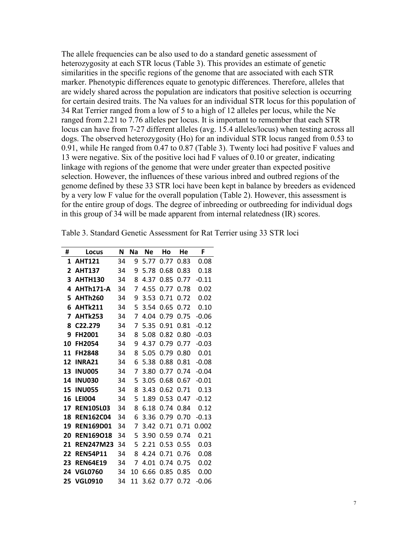The allele frequencies can be also used to do a standard genetic assessment of heterozygosity at each STR locus (Table 3). This provides an estimate of genetic similarities in the specific regions of the genome that are associated with each STR marker. Phenotypic differences equate to genotypic differences. Therefore, alleles that are widely shared across the population are indicators that positive selection is occurring for certain desired traits. The Na values for an individual STR locus for this population of 34 Rat Terrier ranged from a low of 5 to a high of 12 alleles per locus, while the Ne ranged from 2.21 to 7.76 alleles per locus. It is important to remember that each STR locus can have from 7-27 different alleles (avg. 15.4 alleles/locus) when testing across all dogs. The observed heterozygosity (Ho) for an individual STR locus ranged from 0.53 to 0.91, while He ranged from 0.47 to 0.87 (Table 3). Twenty loci had positive F values and 13 were negative. Six of the positive loci had F values of 0.10 or greater, indicating linkage with regions of the genome that were under greater than expected positive selection. However, the influences of these various inbred and outbred regions of the genome defined by these 33 STR loci have been kept in balance by breeders as evidenced by a very low F value for the overall population (Table 2). However, this assessment is for the entire group of dogs. The degree of inbreeding or outbreeding for individual dogs in this group of 34 will be made apparent from internal relatedness (IR) scores.

| #  | Locus            | N  | Na | Ne   | Ho   | He   | F       |
|----|------------------|----|----|------|------|------|---------|
| 1  | <b>AHT121</b>    | 34 | 9  | 5.77 | 0.77 | 0.83 | 0.08    |
| 2  | <b>AHT137</b>    | 34 | 9  | 5.78 | 0.68 | 0.83 | 0.18    |
| 3  | <b>AHTH130</b>   | 34 | 8  | 4.37 | 0.85 | 0.77 | $-0.11$ |
| 4  | AHTh171-A        | 34 | 7  | 4.55 | 0.77 | 0.78 | 0.02    |
| 5  | <b>AHTh260</b>   | 34 | 9  | 3.53 | 0.71 | 0.72 | 0.02    |
| 6  | <b>AHTk211</b>   | 34 | 5  | 3.54 | 0.65 | 0.72 | 0.10    |
| 7  | <b>AHTk253</b>   | 34 | 7  | 4.04 | 0.79 | 0.75 | $-0.06$ |
| 8  | C22.279          | 34 | 7  | 5.35 | 0.91 | 0.81 | $-0.12$ |
| 9  | <b>FH2001</b>    | 34 | 8  | 5.08 | 0.82 | 0.80 | $-0.03$ |
| 10 | <b>FH2054</b>    | 34 | 9  | 4.37 | 0.79 | 0.77 | $-0.03$ |
| 11 | <b>FH2848</b>    | 34 | 8  | 5.05 | 0.79 | 0.80 | 0.01    |
| 12 | INRA21           | 34 | 6  | 5.38 | 0.88 | 0.81 | $-0.08$ |
| 13 | <b>INU005</b>    | 34 | 7  | 3.80 | 0.77 | 0.74 | $-0.04$ |
| 14 | <b>INU030</b>    | 34 | 5  | 3.05 | 0.68 | 0.67 | $-0.01$ |
| 15 | <b>INU055</b>    | 34 | 8  | 3.43 | 0.62 | 0.71 | 0.13    |
| 16 | <b>LEI004</b>    | 34 | 5  | 1.89 | 0.53 | 0.47 | -0.12   |
| 17 | <b>REN105L03</b> | 34 | 8  | 6.18 | 0.74 | 0.84 | 0.12    |
| 18 | <b>REN162C04</b> | 34 | 6  | 3.36 | 0.79 | 0.70 | $-0.13$ |
| 19 | <b>REN169D01</b> | 34 | 7  | 3.42 | 0.71 | 0.71 | 0.002   |
| 20 | <b>REN169018</b> | 34 | 5  | 3.90 | 0.59 | 0.74 | 0.21    |
| 21 | <b>REN247M23</b> | 34 | 5  | 2.21 | 0.53 | 0.55 | 0.03    |
| 22 | <b>REN54P11</b>  | 34 | 8  | 4.24 | 0.71 | 0.76 | 0.08    |
| 23 | <b>REN64E19</b>  | 34 | 7  | 4.01 | 0.74 | 0.75 | 0.02    |
| 24 | <b>VGL0760</b>   | 34 | 10 | 6.66 | 0.85 | 0.85 | 0.00    |
| 25 | <b>VGL0910</b>   | 34 | 11 | 3.62 | 0.77 | 0.72 | -0.06   |

Table 3. Standard Genetic Assessment for Rat Terrier using 33 STR loci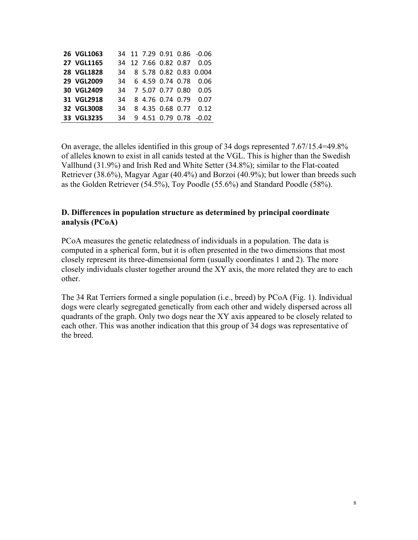| 26 VGL1063 |  |                     |  | 34 11 7.29 0.91 0.86 -0.06 |
|------------|--|---------------------|--|----------------------------|
| 27 VGL1165 |  |                     |  | 34 12 7.66 0.82 0.87 0.05  |
| 28 VGL1828 |  |                     |  | 34 8 5.78 0.82 0.83 0.004  |
| 29 VGL2009 |  |                     |  | 34 6 4.59 0.74 0.78 0.06   |
| 30 VGL2409 |  | 34 7 5.07 0.77 0.80 |  | 0.05                       |
| 31 VGL2918 |  |                     |  | 34 8 4.76 0.74 0.79 0.07   |
| 32 VGL3008 |  |                     |  | 34 8 4.35 0.68 0.77 0.12   |
| 33 VGL3235 |  |                     |  | 34 9 4.51 0.79 0.78 -0.02  |

On average, the alleles identified in this group of 34 dogs represented 7.67/15.4=49.8% of alleles known to exist in all canids tested at the VGL. This is higher than the Swedish Vallhund (31.9%) and Irish Red and White Setter (34.8%); similar to the Flat-coated Retriever (38.6%), Magyar Agar (40.4%) and Borzoi (40.9%); but lower than breeds such as the Golden Retriever (54.5%), Toy Poodle (55.6%) and Standard Poodle (58%).

#### **D. Differences in population structure as determined by principal coordinate analysis (PCoA)**

PCoA measures the genetic relatedness of individuals in a population. The data is computed in a spherical form, but it is often presented in the two dimensions that most closely represent its three-dimensional form (usually coordinates 1 and 2). The more closely individuals cluster together around the XY axis, the more related they are to each other.

The 34 Rat Terriers formed a single population (i.e., breed) by PCoA (Fig. 1). Individual dogs were clearly segregated genetically from each other and widely dispersed across all quadrants of the graph. Only two dogs near the XY axis appeared to be closely related to each other. This was another indication that this group of 34 dogs was representative of the breed.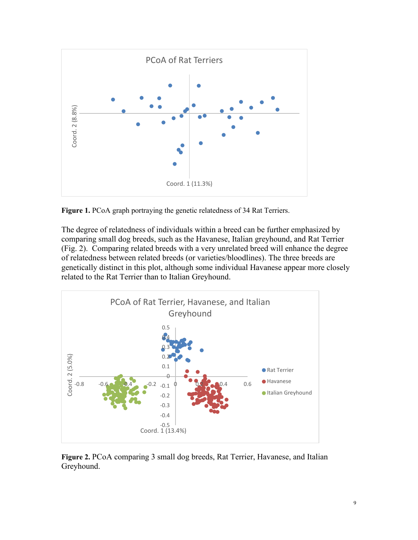

**Figure 1.** PCoA graph portraying the genetic relatedness of 34 Rat Terriers.

The degree of relatedness of individuals within a breed can be further emphasized by comparing small dog breeds, such as the Havanese, Italian greyhound, and Rat Terrier (Fig. 2). Comparing related breeds with a very unrelated breed will enhance the degree of relatedness between related breeds (or varieties/bloodlines). The three breeds are genetically distinct in this plot, although some individual Havanese appear more closely related to the Rat Terrier than to Italian Greyhound.



**Figure 2.** PCoA comparing 3 small dog breeds, Rat Terrier, Havanese, and Italian Greyhound.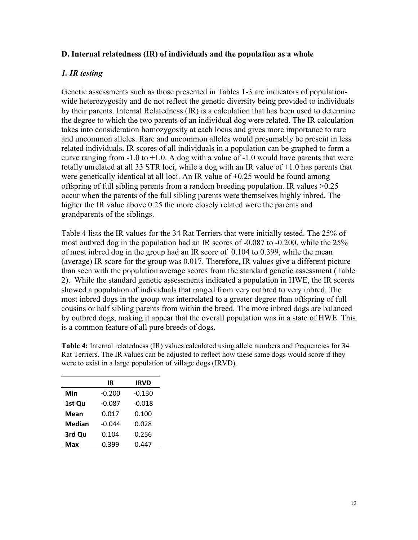#### **D. Internal relatedness (IR) of individuals and the population as a whole**

## *1. IR testing*

Genetic assessments such as those presented in Tables 1-3 are indicators of populationwide heterozygosity and do not reflect the genetic diversity being provided to individuals by their parents. Internal Relatedness (IR) is a calculation that has been used to determine the degree to which the two parents of an individual dog were related. The IR calculation takes into consideration homozygosity at each locus and gives more importance to rare and uncommon alleles. Rare and uncommon alleles would presumably be present in less related individuals. IR scores of all individuals in a population can be graphed to form a curve ranging from  $-1.0$  to  $+1.0$ . A dog with a value of  $-1.0$  would have parents that were totally unrelated at all 33 STR loci, while a dog with an IR value of +1.0 has parents that were genetically identical at all loci. An IR value of  $+0.25$  would be found among offspring of full sibling parents from a random breeding population. IR values >0.25 occur when the parents of the full sibling parents were themselves highly inbred. The higher the IR value above 0.25 the more closely related were the parents and grandparents of the siblings.

Table 4 lists the IR values for the 34 Rat Terriers that were initially tested. The 25% of most outbred dog in the population had an IR scores of -0.087 to -0.200, while the 25% of most inbred dog in the group had an IR score of 0.104 to 0.399, while the mean (average) IR score for the group was 0.017. Therefore, IR values give a different picture than seen with the population average scores from the standard genetic assessment (Table 2). While the standard genetic assessments indicated a population in HWE, the IR scores showed a population of individuals that ranged from very outbred to very inbred. The most inbred dogs in the group was interrelated to a greater degree than offspring of full cousins or half sibling parents from within the breed. The more inbred dogs are balanced by outbred dogs, making it appear that the overall population was in a state of HWE. This is a common feature of all pure breeds of dogs.

|               | IR       | IRVD     |
|---------------|----------|----------|
| Min           | -0.200   | $-0.130$ |
| 1st Qu        | $-0.087$ | $-0.018$ |
| Mean          | 0.017    | 0.100    |
| <b>Median</b> | $-0.044$ | 0.028    |
| 3rd Qu        | 0.104    | 0.256    |
| Max           | 0.399    | 0.447    |

**Table 4:** Internal relatedness (IR) values calculated using allele numbers and frequencies for 34 Rat Terriers. The IR values can be adjusted to reflect how these same dogs would score if they were to exist in a large population of village dogs (IRVD).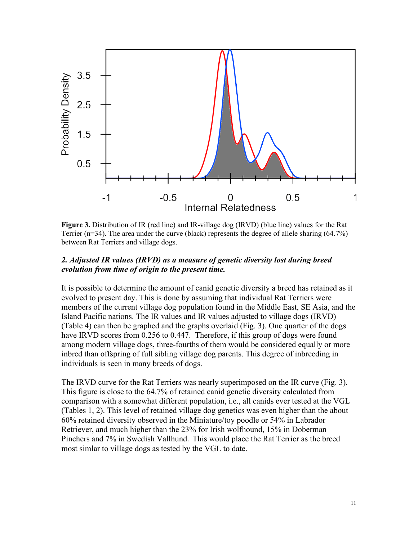

**Figure 3.** Distribution of IR (red line) and IR-village dog (IRVD) (blue line) values for the Rat Terrier (n=34). The area under the curve (black) represents the degree of allele sharing (64.7%) between Rat Terriers and village dogs.

#### *2. Adjusted IR values (IRVD) as a measure of genetic diversity lost during breed evolution from time of origin to the present time.*

It is possible to determine the amount of canid genetic diversity a breed has retained as it evolved to present day. This is done by assuming that individual Rat Terriers were members of the current village dog population found in the Middle East, SE Asia, and the Island Pacific nations. The IR values and IR values adjusted to village dogs (IRVD) (Table 4) can then be graphed and the graphs overlaid (Fig. 3). One quarter of the dogs have IRVD scores from 0.256 to 0.447. Therefore, if this group of dogs were found among modern village dogs, three-fourths of them would be considered equally or more inbred than offspring of full sibling village dog parents. This degree of inbreeding in individuals is seen in many breeds of dogs.

The IRVD curve for the Rat Terriers was nearly superimposed on the IR curve (Fig. 3). This figure is close to the 64.7% of retained canid genetic diversity calculated from comparison with a somewhat different population, i.e., all canids ever tested at the VGL (Tables 1, 2). This level of retained village dog genetics was even higher than the about 60% retained diversity observed in the Miniature/toy poodle or 54% in Labrador Retriever, and much higher than the 23% for Irish wolfhound, 15% in Doberman Pinchers and 7% in Swedish Vallhund. This would place the Rat Terrier as the breed most simlar to village dogs as tested by the VGL to date.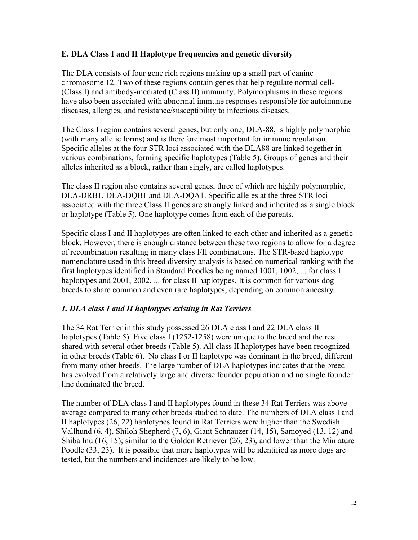## **E. DLA Class I and II Haplotype frequencies and genetic diversity**

The DLA consists of four gene rich regions making up a small part of canine chromosome 12. Two of these regions contain genes that help regulate normal cell- (Class I) and antibody-mediated (Class II) immunity. Polymorphisms in these regions have also been associated with abnormal immune responses responsible for autoimmune diseases, allergies, and resistance/susceptibility to infectious diseases.

The Class I region contains several genes, but only one, DLA-88, is highly polymorphic (with many allelic forms) and is therefore most important for immune regulation. Specific alleles at the four STR loci associated with the DLA88 are linked together in various combinations, forming specific haplotypes (Table 5). Groups of genes and their alleles inherited as a block, rather than singly, are called haplotypes.

The class II region also contains several genes, three of which are highly polymorphic, DLA-DRB1, DLA-DQB1 and DLA-DQA1. Specific alleles at the three STR loci associated with the three Class II genes are strongly linked and inherited as a single block or haplotype (Table 5). One haplotype comes from each of the parents.

Specific class I and II haplotypes are often linked to each other and inherited as a genetic block. However, there is enough distance between these two regions to allow for a degree of recombination resulting in many class I/II combinations. The STR-based haplotype nomenclature used in this breed diversity analysis is based on numerical ranking with the first haplotypes identified in Standard Poodles being named 1001, 1002, ... for class I haplotypes and 2001, 2002, ... for class II haplotypes. It is common for various dog breeds to share common and even rare haplotypes, depending on common ancestry.

#### *1. DLA class I and II haplotypes existing in Rat Terriers*

The 34 Rat Terrier in this study possessed 26 DLA class I and 22 DLA class II haplotypes (Table 5). Five class I (1252-1258) were unique to the breed and the rest shared with several other breeds (Table 5). All class II haplotypes have been recognized in other breeds (Table 6). No class I or II haplotype was dominant in the breed, different from many other breeds. The large number of DLA haplotypes indicates that the breed has evolved from a relatively large and diverse founder population and no single founder line dominated the breed.

The number of DLA class I and II haplotypes found in these 34 Rat Terriers was above average compared to many other breeds studied to date. The numbers of DLA class I and II haplotypes (26, 22) haplotypes found in Rat Terriers were higher than the Swedish Vallhund (6, 4), Shiloh Shepherd (7, 6), Giant Schnauzer (14, 15), Samoyed (13, 12) and Shiba Inu (16, 15); similar to the Golden Retriever (26, 23), and lower than the Miniature Poodle (33, 23). It is possible that more haplotypes will be identified as more dogs are tested, but the numbers and incidences are likely to be low.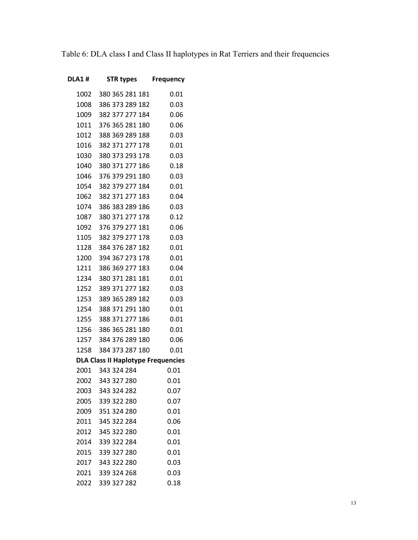Table 6: DLA class I and Class II haplotypes in Rat Terriers and their frequencies

| <b>DLA1#</b> | STR types                                 | <b>Frequency</b> |
|--------------|-------------------------------------------|------------------|
|              | 1002 380 365 281 181                      | 0.01             |
| 1008         | 386 373 289 182                           | 0.03             |
| 1009         | 382 377 277 184                           | 0.06             |
| 1011         | 376 365 281 180                           | 0.06             |
| 1012         | 388 369 289 188                           | 0.03             |
| 1016         | 382 371 277 178                           | 0.01             |
| 1030         | 380 373 293 178                           | 0.03             |
| 1040         | 380 371 277 186                           | 0.18             |
| 1046         | 376 379 291 180                           | 0.03             |
|              | 1054 382 379 277 184                      | 0.01             |
|              | 1062 382 371 277 183                      | 0.04             |
|              | 1074 386 383 289 186                      | 0.03             |
| 1087         | 380 371 277 178                           | 0.12             |
|              | 1092 376 379 277 181                      | 0.06             |
|              | 1105 382 379 277 178                      | 0.03             |
| 1128         | 384 376 287 182                           | 0.01             |
| 1200         | 394 367 273 178                           | 0.01             |
| 1211         | 386 369 277 183                           | 0.04             |
|              | 1234 380 371 281 181                      | 0.01             |
| 1252         | 389 371 277 182                           | 0.03             |
| 1253         | 389 365 289 182                           | 0.03             |
| 1254         | 388 371 291 180                           | 0.01             |
| 1255         | 388 371 277 186                           | 0.01             |
| 1256         | 386 365 281 180                           | 0.01             |
|              | 1257 384 376 289 180                      | 0.06             |
| 1258         | 384 373 287 180                           | 0.01             |
|              | <b>DLA Class II Haplotype Frequencies</b> |                  |
|              | 2001 343 324 284                          | 0.01             |
|              | 2002 343 327 280                          | 0.01             |
| 2003         | 343 324 282                               | 0.07             |
| 2005         | 339 322 280                               | 0.07             |
| 2009         | 351 324 280                               | 0.01             |
| 2011         | 345 322 284                               | 0.06             |
| 2012         | 345 322 280                               | 0.01             |
| 2014         | 339 322 284                               | 0.01             |
| 2015         | 339 327 280                               | 0.01             |
| 2017         | 343 322 280                               | 0.03             |
| 2021         | 339 324 268                               | 0.03             |
| 2022         | 339 327 282                               | 0.18             |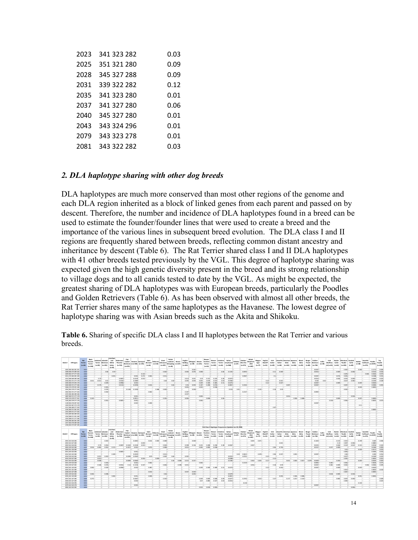| 2023 | 341 323 282 | 0.03 |
|------|-------------|------|
| 2025 | 351 321 280 | 0.09 |
| 2028 | 345 327 288 | 0.09 |
| 2031 | 339 322 282 | 0.12 |
| 2035 | 341 323 280 | 0.01 |
| 2037 | 341 327 280 | 0.06 |
| 2040 | 345 327 280 | 0.01 |
| 2043 | 343 324 296 | 0.01 |
| 2079 | 343 323 278 | 0.01 |
| 2081 | 343 322 282 | 0.03 |

#### *2. DLA haplotype sharing with other dog breeds*

DLA haplotypes are much more conserved than most other regions of the genome and each DLA region inherited as a block of linked genes from each parent and passed on by descent. Therefore, the number and incidence of DLA haplotypes found in a breed can be used to estimate the founder/founder lines that were used to create a breed and the importance of the various lines in subsequent breed evolution. The DLA class I and II regions are frequently shared between breeds, reflecting common distant ancestry and inheritance by descent (Table 6). The Rat Terrier shared class I and II DLA haplotypes with 41 other breeds tested previously by the VGL. This degree of haplotype sharing was expected given the high genetic diversity present in the breed and its strong relationship to village dogs and to all canids tested to date by the VGL. As might be expected, the greatest sharing of DLA haplotypes was with European breeds, particularly the Poodles and Golden Retrievers (Table 6). As has been observed with almost all other breeds, the Rat Terrier shares many of the same haplotypes as the Havanese. The lowest degree of haplotype sharing was with Asian breeds such as the Akita and Shikoku.

**Table 6.** Sharing of specific DLA class I and II haplotypes between the Rat Terrier and various breeds.

| DLA1# STR types                              | Rat<br>Temler<br>$(n - 34)$ | Black<br>Russian<br>Temien<br>$(n - 140)$ | $(m = 92)$                                                                                                                                                                                                                                    | akeland Labrador<br>Terrier Betrieser<br>$(n-121)$ | Irish Red<br>and<br>White<br>Setter<br>$(n = 61)$ | Doberman<br>Pinscher<br>$(n - 710)$ | Fla<br>Coated<br>Retriever e (n=505) (n=191)<br>$(n - 575)$ | <b>Hayanes Samoved</b> |                | Saint<br>Bernard<br>(0.061) | Shiba Inu Schnauzer<br>$(n+110)$ | Giant<br>$(n - 237)$ | Polish<br>Lowland<br>Sheepdag (n=127)<br>$(n - 25)$ | Borzoi | English<br>Buildox<br>$(n - 263)$ | Whippet Biewer Yorshire<br>$(n - 50)$ | $(n=122)$    | Siewe<br>Terrier<br>$(n - 53)$   | Siewer<br>Temler<br>$(n+132)$ | Yorkshire<br>$(n-16)$    | Italian<br><b>Temier Greyhound</b><br>$(n - 968)$         | Shikoku<br>$(n=47)$ | Alaskan<br>Klee Kai<br>$(n+571)$ | Shepherd<br>, ISSA<br>$(n - 207)$ | English<br>Magyar<br>Mastiff<br><b>Agar</b><br>$(n+77)$<br>$(n = 21)$ | trish<br>Setter<br>$(n - 40)$ | Setter<br>$(n - 34)$ | Akita<br>$(n-141)$ | Llewellin American Japanese<br>Akita<br>$(n - 416)$ | Blend<br><b>Akita</b><br>$(n - 52)$ | <b>Derrer</b><br>(meth) | Golden<br>Picard Retriever<br>$(n - 734)$ | Collie<br>$(n - 45)$ | <b>Hab</b><br>nd (n=55) (n=54) | Border<br>Wolfhou Collie | Ministure Scottish<br>Poodle<br>$(n-301)$ | Collie<br>$(n - 83)$ | Barbet<br>$(n - 68)$ | Swedish<br>Vallhund<br>$(n = 271)$ | Poodle<br>$(n - 3297)$ | Tay<br>Poodle<br>$(n - 158)$ |
|----------------------------------------------|-----------------------------|-------------------------------------------|-----------------------------------------------------------------------------------------------------------------------------------------------------------------------------------------------------------------------------------------------|----------------------------------------------------|---------------------------------------------------|-------------------------------------|-------------------------------------------------------------|------------------------|----------------|-----------------------------|----------------------------------|----------------------|-----------------------------------------------------|--------|-----------------------------------|---------------------------------------|--------------|----------------------------------|-------------------------------|--------------------------|-----------------------------------------------------------|---------------------|----------------------------------|-----------------------------------|-----------------------------------------------------------------------|-------------------------------|----------------------|--------------------|-----------------------------------------------------|-------------------------------------|-------------------------|-------------------------------------------|----------------------|--------------------------------|--------------------------|-------------------------------------------|----------------------|----------------------|------------------------------------|------------------------|------------------------------|
| 1002 380 365 281 181                         | 0.01                        |                                           |                                                                                                                                                                                                                                               |                                                    |                                                   |                                     |                                                             |                        |                |                             |                                  |                      |                                                     |        |                                   | 0.042                                 |              |                                  |                               |                          |                                                           |                     |                                  |                                   |                                                                       |                               |                      |                    |                                                     |                                     |                         | 0.0007                                    |                      |                                |                          | 0.002                                     |                      | $0.066 -$            |                                    | 0.1711                 | 0.006                        |
| 1008 386 373 289 182                         | 0.03                        |                                           |                                                                                                                                                                                                                                               | 0.06                                               | 0.59                                              |                                     |                                                             |                        |                |                             |                                  | 0.042                |                                                     |        | 0.006                             | 0.076                                 | <b>Q.COS</b> |                                  |                               | 0.06                     | 0.1255                                                    |                     | agsss-                           |                                   |                                                                       |                               | 0.11<br>nova         |                    |                                                     |                                     |                         | $0.0034 -$                                |                      |                                | 0.009                    |                                           | 0.006                |                      |                                    | 0.0152                 | 0.016                        |
| 1009 382 377 277 184                         | 0.06                        |                                           |                                                                                                                                                                                                                                               |                                                    |                                                   |                                     |                                                             |                        | $0.123 -$      |                             |                                  |                      |                                                     |        |                                   |                                       |              |                                  |                               |                          |                                                           |                     |                                  |                                   |                                                                       |                               |                      |                    |                                                     |                                     |                         |                                           |                      |                                |                          | 0.076                                     |                      |                      | 0.045                              | 0.0166                 | 0.075                        |
| 1011 376 365 281 180<br>1012 388 369 289 188 | 0.06<br>0.03                |                                           | $0.75 -$                                                                                                                                                                                                                                      |                                                    | $0.033 -$                                         | 0.0007                              |                                                             | 0.002<br>0.0139        | 0.272<br>0.013 | 0.066                       |                                  | 0.011                |                                                     |        | 0.414                             | 0.051                                 | 0.19         | 0.151                            | 0.235                         | 0.28                     | 0.0072                                                    |                     | 0.0587                           |                                   |                                                                       |                               | $0.1 -$              |                    |                                                     |                                     |                         | 0.0007<br>$0.0014 -$                      |                      |                                | 0.074<br>0.046           | 0.003<br>0.055                            | 0.006                |                      |                                    | 0.0188<br>0.0092       | 0.032<br>ages                |
| 1016 382 371 277 178                         | 0.01                        | 0.011                                     | 0.011                                                                                                                                                                                                                                         | 0.01                                               |                                                   | 0.0162                              |                                                             | 0.2089                 |                |                             |                                  | 0.04                 | $0.02 -$                                            |        | 0.095                             | 0.023                                 | 0.025        | 0.019                            | 0.015                         | 0.03                     | 0.0584                                                    |                     |                                  |                                   |                                                                       | 0.12                          | 0.021                |                    |                                                     |                                     |                         | 0.002                                     | $0.04 -$             |                                |                          | 0.027                                     | 0.084                |                      |                                    | 0.0195                 | 0.028                        |
| 1030 380 373 293 178                         | 0.03                        |                                           |                                                                                                                                                                                                                                               | $0.039 -$                                          |                                                   | $0.0958 -$                          |                                                             | $0.003 -$              |                |                             |                                  |                      |                                                     |        |                                   |                                       | 0.452        | 0.349                            | 0.485                         | 0.31                     | 0.0274                                                    |                     |                                  |                                   |                                                                       | $0.12 -$                      | 0.027                |                    |                                                     |                                     |                         | 0.0007                                    |                      |                                | acco                     |                                           |                      | $0.029 -$            |                                    | $0.0025 -$             |                              |
| 1040 380 371 277 186                         | 0.18                        |                                           | $0.179 -$                                                                                                                                                                                                                                     |                                                    |                                                   | $0.0113 -$                          |                                                             | 0.0198                 |                | $0.006 -$                   |                                  |                      | $0.62 -$                                            |        | 0.04                              | 0.059                                 | 0.107        | 0.208                            | 0.076                         |                          | o gesz.                                                   |                     | 0.2102                           |                                   |                                                                       |                               |                      |                    | n mm                                                |                                     |                         | o morzi                                   |                      |                                |                          | 0.007                                     |                      |                      |                                    | accos                  | 0.003                        |
| 1046 376 379 291 180                         | 0.03                        |                                           |                                                                                                                                                                                                                                               | 0.003                                              |                                                   |                                     |                                                             |                        |                |                             |                                  |                      |                                                     |        | 0.003                             |                                       | 0.033        |                                  |                               |                          |                                                           |                     |                                  |                                   |                                                                       |                               |                      |                    |                                                     |                                     |                         |                                           |                      |                                |                          |                                           |                      | $0.029 -$            |                                    | $0.0003 -$             |                              |
| 1054 382 379 277 184                         | 0.01                        |                                           | <b>The Contract of the Contract of the Contract of the Contract of the Contract of the Contract of the Contract of the Contract of the Contract of the Contract of the Contract of the Contract of the Contract of the Contract </b>          | 0.076                                              |                                                   |                                     |                                                             | 0.1148 0.1208-         |                |                             | 0.368                            | 0.004                |                                                     |        |                                   | $0.008 -$                             |              |                                  |                               |                          | 0.015                                                     | 0.01                |                                  |                                   | $0.343 -$                                                             |                               | 0.18<br>0.02         |                    |                                                     |                                     |                         |                                           |                      |                                |                          | n one.                                    |                      |                      |                                    |                        |                              |
| 1062 382 371 277 183                         | 0.04                        |                                           |                                                                                                                                                                                                                                               | $0.018 -$                                          |                                                   |                                     |                                                             |                        |                | 0.066                       |                                  |                      |                                                     |        | $0.187 -$                         |                                       |              |                                  |                               |                          |                                                           |                     | 0.2137                           |                                   |                                                                       |                               |                      |                    |                                                     |                                     |                         | 0.0892                                    |                      |                                |                          |                                           |                      |                      |                                    |                        |                              |
| 1074 385 383 289 186                         | 0.03                        |                                           |                                                                                                                                                                                                                                               |                                                    |                                                   |                                     |                                                             |                        |                |                             |                                  |                      |                                                     |        | 0.037                             |                                       |              |                                  |                               |                          |                                                           |                     |                                  |                                   |                                                                       |                               |                      |                    |                                                     |                                     |                         |                                           |                      |                                |                          |                                           |                      |                      |                                    |                        |                              |
| 1087 380 371 277 178                         | 0.12                        |                                           |                                                                                                                                                                                                                                               |                                                    |                                                   |                                     |                                                             | 0.001                  |                |                             |                                  |                      |                                                     |        | Б.                                |                                       | 0.004        |                                  |                               |                          |                                                           |                     |                                  |                                   |                                                                       |                               |                      |                    | ggg4                                                |                                     |                         |                                           |                      |                                |                          |                                           | 0.018                |                      |                                    |                        |                              |
| 1092 376 379 277 181                         | 0.06                        | 0.243                                     |                                                                                                                                                                                                                                               |                                                    |                                                   |                                     |                                                             | 0.0911                 |                |                             |                                  | 0.255                |                                                     |        | 0.006                             |                                       |              | 0.038                            |                               | 0.06                     |                                                           |                     |                                  |                                   |                                                                       |                               |                      |                    | 0.306                                               | 0.008                               |                         |                                           |                      |                                | 0.002                    |                                           |                      | 0.037                |                                    | $0.0002 -$             |                              |
| 1105 382 379 277 178<br>1128 384 376 287 182 | 0.03<br>0.01                |                                           |                                                                                                                                                                                                                                               | 0.052                                              |                                                   | 0.0007                              |                                                             | 0.001<br>0.002         |                | 0.008                       |                                  |                      |                                                     |        |                                   |                                       | $0.004 -$    |                                  |                               |                          |                                                           |                     |                                  |                                   |                                                                       |                               |                      |                    |                                                     |                                     |                         | 0.0007                                    |                      | 0.318                          |                          | 0.056                                     |                      |                      |                                    | 0.0025                 | 0.073                        |
| 1200 394 367 273 178                         | 0.01                        |                                           |                                                                                                                                                                                                                                               |                                                    |                                                   |                                     |                                                             |                        |                |                             |                                  |                      |                                                     |        |                                   |                                       |              |                                  |                               |                          |                                                           |                     |                                  |                                   |                                                                       |                               |                      |                    |                                                     |                                     |                         |                                           |                      |                                |                          |                                           |                      | $0.11 -$             |                                    |                        |                              |
| 1211 385 369 277 183                         | 0.04                        |                                           |                                                                                                                                                                                                                                               |                                                    |                                                   |                                     |                                                             |                        |                |                             |                                  |                      |                                                     |        |                                   |                                       |              |                                  |                               |                          |                                                           |                     |                                  |                                   |                                                                       |                               | 0.02                 |                    |                                                     |                                     |                         |                                           |                      |                                |                          |                                           |                      |                      |                                    |                        |                              |
| 1234 380 371 281 181                         | 0.01                        |                                           |                                                                                                                                                                                                                                               |                                                    |                                                   |                                     |                                                             |                        |                |                             |                                  |                      |                                                     |        |                                   |                                       |              |                                  |                               |                          |                                                           |                     |                                  |                                   |                                                                       |                               |                      |                    |                                                     |                                     |                         |                                           |                      |                                |                          |                                           |                      |                      |                                    | 0.0003                 |                              |
| 1252 389 371 277 182                         | 0.03                        |                                           |                                                                                                                                                                                                                                               |                                                    |                                                   |                                     |                                                             |                        |                |                             |                                  |                      |                                                     |        |                                   |                                       |              |                                  |                               |                          |                                                           |                     |                                  |                                   |                                                                       |                               |                      |                    |                                                     |                                     |                         |                                           |                      |                                |                          |                                           |                      |                      |                                    |                        |                              |
| 1253 389 365 289 182                         | 0.03                        |                                           |                                                                                                                                                                                                                                               |                                                    |                                                   |                                     |                                                             |                        |                |                             |                                  |                      |                                                     |        |                                   |                                       |              |                                  |                               |                          |                                                           |                     |                                  |                                   |                                                                       |                               |                      |                    |                                                     |                                     |                         |                                           |                      |                                |                          |                                           |                      |                      |                                    |                        |                              |
| 1254 388 371 291 180                         | n <sub>m</sub>              |                                           |                                                                                                                                                                                                                                               |                                                    |                                                   |                                     |                                                             |                        |                |                             |                                  |                      |                                                     |        |                                   |                                       |              |                                  |                               |                          |                                                           |                     |                                  |                                   |                                                                       |                               |                      |                    |                                                     |                                     |                         |                                           |                      |                                |                          |                                           |                      |                      |                                    |                        |                              |
| 1255 388 371 277 186                         | 0.01                        |                                           |                                                                                                                                                                                                                                               |                                                    |                                                   |                                     |                                                             |                        |                |                             |                                  |                      |                                                     |        |                                   |                                       |              |                                  |                               |                          |                                                           |                     |                                  |                                   |                                                                       |                               |                      |                    |                                                     |                                     |                         |                                           |                      |                                |                          |                                           |                      |                      |                                    |                        |                              |
| 1256 386 365 281 180                         | 0.01                        |                                           |                                                                                                                                                                                                                                               |                                                    |                                                   |                                     |                                                             |                        |                |                             |                                  |                      |                                                     |        |                                   |                                       |              |                                  |                               |                          |                                                           |                     |                                  |                                   |                                                                       |                               |                      |                    |                                                     |                                     |                         |                                           |                      |                                |                          |                                           |                      |                      |                                    |                        |                              |
| 1257 384 376 289 180                         | 0.05                        |                                           |                                                                                                                                                                                                                                               |                                                    |                                                   |                                     |                                                             |                        |                |                             |                                  |                      |                                                     |        |                                   |                                       |              |                                  |                               |                          |                                                           |                     |                                  |                                   |                                                                       |                               |                      |                    |                                                     |                                     |                         |                                           |                      |                                |                          |                                           |                      |                      |                                    |                        |                              |
| 1258 384 373 287 180                         | 0.01                        |                                           |                                                                                                                                                                                                                                               |                                                    |                                                   |                                     |                                                             |                        |                |                             |                                  |                      |                                                     |        |                                   |                                       |              |                                  |                               |                          | DLA Class II Haplotype Frequencies (Updated Jun 29, 2020) |                     |                                  |                                   |                                                                       |                               |                      |                    |                                                     |                                     |                         |                                           |                      |                                |                          |                                           |                      |                      |                                    |                        |                              |
|                                              |                             |                                           |                                                                                                                                                                                                                                               |                                                    | Irish Red                                         |                                     |                                                             |                        |                |                             |                                  |                      |                                                     |        |                                   |                                       |              |                                  |                               |                          |                                                           |                     |                                  |                                   |                                                                       |                               |                      |                    |                                                     |                                     |                         |                                           |                      |                                |                          |                                           |                      |                      |                                    |                        |                              |
|                                              | Ret:                        | Black<br>Russian                          |                                                                                                                                                                                                                                               | sheland Ishrahn                                    | and                                               | Driverma                            | Flat<br>Control                                             | <b>Havanes Samoyed</b> |                | Saint                       | Shibalnu                         | Giant                | Polish<br>Lowland Borzoi                            |        | English<br>Buildon                | Whippet Biewer                        |              | <b>Biewer</b><br><b>Yorshire</b> | Temler                        | Biewer Yorkshire Italian | Temier Greyhound                                          | Shikoku             | Alaskan<br>Klee Kai              | Shilph<br>Shepherd                | English<br>Maryar                                                     | <b>Selects</b>                |                      |                    | <b>Ilevellin American Isnanese</b>                  | <b>Bland</b>                        | Derger                  | Golden                                    | Collie               | <b>Idah</b><br>Wolfhou Collie  | Border                   | Miniature                                 | Scottist<br>Collie   | Barbet               | Swedish<br>Vallhund                | Poodle                 | Tay                          |
| DLAZ# STR types                              | Temler<br>$(n - 34)$        | Temier                                    | $(n - 92)$                                                                                                                                                                                                                                    | Terrier Retriever                                  | White                                             | Pinscher                            |                                                             |                        |                | Bernard                     | $(n+110)$                        | Schnauzer            |                                                     |        |                                   |                                       |              |                                  |                               |                          |                                                           |                     |                                  |                                   | Agar<br>Mastiff                                                       | Setter                        | Setter               | Akita              | Akita                                               | <b>Akita</b>                        |                         | Picard Retriever                          |                      |                                |                          | Poodle                                    |                      | $(n-ta)$             | $(n = 271)$                        | $(n+3227)$             | Poodle<br>$(n-158)$          |
|                                              |                             |                                           |                                                                                                                                                                                                                                               |                                                    |                                                   |                                     | Retriever e (n=505) (n=191)                                 |                        |                |                             |                                  |                      | Sheepdag (n=127)                                    |        |                                   | $(n - 50)$                            | $(n=122)$    | Terrier                          |                               |                          |                                                           | $(n+47)$            |                                  | , ISSA                            |                                                                       |                               |                      |                    |                                                     |                                     |                         |                                           | $(n - 45)$           |                                |                          |                                           |                      |                      |                                    |                        |                              |
| 2001 343 324 284                             |                             | $(n - 140)$                               |                                                                                                                                                                                                                                               | $(n-121)$                                          | Setter                                            | $(n - 710)$                         | $(n - 575)$                                                 |                        |                | $(n - 61)$                  |                                  | $(n - 237)$          | $(n - 25)$                                          |        | $(n - 163)$                       |                                       |              | (0.53)                           | $(n - 112)$                   | $(n - 16)$               | $(n - 968)$                                               |                     | $(n+571)$                        | $(n - 207)$                       | $(n+77)$<br>$(n = 21)$                                                | $(n - 40)$                    | $(n - 34)$           | $(n-141)$          | $(n - 416)$                                         | $(n - 52)$                          | $(n - 82)$              | $(n - 734)$                               |                      | nd (n=55)                      | $(n - 54)$               | $(n-301)$                                 | $(n - 83)$           |                      |                                    |                        | 0.006                        |
|                                              | 0.01                        |                                           |                                                                                                                                                                                                                                               | $0.003 -$                                          | $(n - 61)$                                        |                                     |                                                             | 0.0485                 |                | 0.006                       | 0.005                            | <b>Q.DOS</b>         |                                                     |        |                                   | $0.068 -$                             |              |                                  |                               |                          |                                                           |                     |                                  | 0.005                             | $0.071 -$                                                             |                               |                      |                    |                                                     |                                     |                         | 0.1403                                    |                      |                                | 0.213                    | 0.005                                     |                      | $0.199 -$            |                                    | 0.609                  |                              |
| 2002 343 327 280                             | 0.01                        |                                           |                                                                                                                                                                                                                                               |                                                    |                                                   |                                     |                                                             |                        | 0.003          |                             |                                  |                      |                                                     |        |                                   |                                       |              |                                  |                               |                          |                                                           |                     |                                  |                                   |                                                                       |                               | 0.021                |                    |                                                     |                                     |                         |                                           |                      |                                | 0.13                     | 0.007                                     | 0.006                |                      |                                    | ages-                  |                              |
| 2003 343 324 282                             | 0.07                        |                                           | 0.75                                                                                                                                                                                                                                          | 0.016                                              |                                                   | 0.0007                              | 0.1452                                                      | 0.2158                 | 0.013          |                             |                                  | 0.034                |                                                     |        | 0.528                             | 0.136                                 | 0.231        | 0.206                            | 0.258                         | 0.38                     | 0.0062                                                    |                     |                                  | n on y                            |                                                                       |                               |                      |                    |                                                     |                                     |                         | 0.0225                                    |                      |                                | 0.046                    | 0.522                                     | 0.012                | 0.132                |                                    | 0.0916                 | 0.424                        |
| 2005 339 322 280                             | 0.07                        | 0.034                                     | 0.005                                                                                                                                                                                                                                         | 0.052                                              | $0.115 -$                                         |                                     | 0.4217                                                      | 0.002                  |                | $0.074 -$                   |                                  | acce-                |                                                     |        | 0.015                             |                                       | 0.045        | a.com                            | n me                          |                          |                                                           |                     |                                  |                                   |                                                                       |                               | 0.04<br>$0.793 -$    |                    |                                                     |                                     |                         | 0.0157                                    |                      | 0.227                          | 0.009                    |                                           |                      |                      |                                    | 0.0185                 | 0.003                        |
| 2009 351 324 280                             | 0.01                        |                                           |                                                                                                                                                                                                                                               |                                                    |                                                   |                                     |                                                             |                        |                |                             |                                  |                      |                                                     |        |                                   |                                       |              |                                  |                               |                          |                                                           |                     |                                  |                                   |                                                                       |                               |                      |                    |                                                     |                                     |                         |                                           |                      |                                |                          | $0.01 -$                                  |                      | 0.029                |                                    | 0.0117                 | 0.032                        |
| 2011 345 322 284                             | 0.06                        |                                           |                                                                                                                                                                                                                                               |                                                    |                                                   | 0.0007                              |                                                             | 0.001                  |                |                             |                                  |                      |                                                     |        |                                   |                                       |              |                                  |                               |                          |                                                           |                     |                                  |                                   |                                                                       |                               |                      |                    |                                                     |                                     |                         |                                           |                      |                                |                          | 0.003                                     |                      |                      |                                    | 0.0182                 | 0.032                        |
| 2012 345 322 280                             | 0.01                        |                                           | <b>Inches</b>                                                                                                                                                                                                                                 |                                                    | 0.189                                             |                                     |                                                             | 0.0059                 |                |                             |                                  | 0.011                |                                                     |        |                                   |                                       |              |                                  |                               |                          |                                                           | 0.02                | 0.0622                           |                                   | $0.078 -$                                                             |                               | 0.037<br>0.06        |                    | $0.001 -$                                           |                                     |                         | o mort.                                   |                      |                                |                          | $0.06 -$                                  |                      |                      |                                    | 0.005                  | 0.054                        |
| 2014 339 322 284                             | 0.01                        |                                           | 0.011                                                                                                                                                                                                                                         | $0.003 -$                                          |                                                   |                                     | 0.0296                                                      | 0.0069                 |                | $0.09 -$                    |                                  | 0.002                | $0.64 -$                                            |        | 0.022                             |                                       |              |                                  |                               |                          | $0.0015 -$                                                |                     | 0.0701                           |                                   |                                                                       | $0.12 -$                      |                      |                    |                                                     |                                     |                         |                                           |                      |                                |                          | $0.027 -$                                 |                      |                      |                                    | 0.0183                 | ages                         |
| 2015 339 327 280                             | 0.01                        |                                           | 0.011                                                                                                                                                                                                                                         |                                                    |                                                   |                                     |                                                             |                        | 0.006          |                             | $0.059 -$                        |                      |                                                     |        |                                   |                                       |              |                                  |                               |                          | 0.0098                                                    |                     |                                  |                                   |                                                                       |                               | $0.12 -$             |                    |                                                     |                                     |                         |                                           |                      |                                |                          | 0.045                                     |                      |                      |                                    | a possi                | 0.041                        |
| 2017 343 322 280<br>2021 339 324 268         | 0.03<br>0.03                |                                           | 0.038<br><b>The Contract of the Contract of the Contract of the Contract of the Contract of the Contract of the Contract of the Contract of the Contract of the Contract of the Contract of the Contract of the Contract of the Contract </b> | $0.018 -$                                          |                                                   |                                     | 0.0009                                                      | 0.0069<br>0.002        |                | 0.066                       |                                  |                      | 0.34                                                | 0.008  | 0.215                             | 0.237                                 | 0.004        |                                  |                               |                          | $0.2185 -$                                                |                     | 0.2119                           | 0.362                             | 0.455                                                                 | 0.17                          |                      |                    | 0.011<br>0.005                                      | 0.017                               | n nys                   | 0.0409<br>$0.0892 -$                      |                      | $0.282 -$                      | 0.204                    | $0.056 -$                                 |                      | $0.029 -$            |                                    | 0.0025<br>0.0028       | 0.003<br>0.073               |
| 2022 339 327 282                             | 0.18                        |                                           | 0.168                                                                                                                                                                                                                                         | 0.076                                              |                                                   | 0.0014                              | 0.12                                                        | 0.1158                 | 0.307          |                             |                                  | 0.004                |                                                     | 0.598  | 0.015                             |                                       |              |                                  |                               |                          |                                                           |                     |                                  | ags.                              |                                                                       |                               | 0.18<br>0.02         |                    |                                                     |                                     |                         | 0.0007                                    |                      | 0.382                          | acco                     | 0.002                                     |                      |                      | 0.045                              | 0.0002                 | 0.009                        |
| 2023 341 323 282                             | 0.03                        | $0.004 -$                                 |                                                                                                                                                                                                                                               | 0.039                                              |                                                   | n noval.                            |                                                             | n nm                   |                | 0.385                       |                                  |                      |                                                     |        |                                   |                                       | 0.452        | n seo                            | 0.480                         | 0.33                     | n nyai.                                                   |                     |                                  |                                   |                                                                       | 0.12                          | arno                 |                    |                                                     |                                     |                         | o morzi                                   |                      |                                | n mo                     |                                           |                      | $0.029 -$            |                                    | $0.0025 -$             |                              |
| 2025 351 321 280                             | 0.09                        |                                           |                                                                                                                                                                                                                                               |                                                    |                                                   |                                     |                                                             |                        |                |                             |                                  |                      |                                                     |        |                                   |                                       |              |                                  |                               |                          |                                                           |                     |                                  |                                   |                                                                       |                               |                      |                    |                                                     |                                     |                         |                                           |                      |                                |                          | $0.051 -$                                 |                      |                      |                                    | 0.0022                 | 0.016                        |
| 2028 345 327 288                             | 0.02                        |                                           |                                                                                                                                                                                                                                               |                                                    |                                                   |                                     |                                                             |                        |                | 0.006                       |                                  |                      |                                                     |        | 0.037                             | $0.052 -$                             |              |                                  |                               |                          |                                                           |                     |                                  |                                   |                                                                       |                               |                      |                    |                                                     |                                     |                         |                                           |                      |                                |                          | n on y                                    |                      |                      |                                    | $0.0005 -$             |                              |
| 2031 339 322 282                             | 0.12                        | $0.036 -$                                 |                                                                                                                                                                                                                                               | $0.008 -$                                          |                                                   |                                     |                                                             |                        |                |                             |                                  | 0.04                 |                                                     |        |                                   | 0.023                                 |              |                                  |                               |                          | 0.0579                                                    |                     |                                  |                                   |                                                                       |                               |                      |                    |                                                     |                                     |                         |                                           |                      | 0.018                          | 0.002                    |                                           | $0.018 -$            |                      |                                    |                        |                              |
| 2035 341 323 280                             | 0.01                        |                                           |                                                                                                                                                                                                                                               |                                                    | 0.082                                             |                                     |                                                             | $0.001 -$              |                | 0.008                       |                                  |                      |                                                     |        |                                   |                                       |              |                                  |                               |                          | 0.0857                                                    |                     |                                  |                                   |                                                                       |                               | 0.005                |                    | 0.306                                               | 0.008                               |                         |                                           |                      |                                |                          |                                           |                      | $0.051 -$            |                                    | $0.0002 -$             |                              |
| 2037 341 327 280                             | 0.06                        | $0.275 -$                                 |                                                                                                                                                                                                                                               |                                                    |                                                   |                                     |                                                             | $0.0287 -$             |                |                             |                                  | $0.352 -$            |                                                     |        |                                   |                                       | 0.029        | a.com                            | 0.068                         | 0.09                     | 0.0077                                                    |                     | 0.3792                           |                                   | $0.013 -$                                                             |                               | $0.37 -$             |                    | 0.257<br>0.177                                      | 0.253                               |                         |                                           |                      |                                | 0.083                    | 0.007                                     | $0.006 -$            |                      |                                    |                        | 0.009                        |
| 2040 345 327 280                             | 0.01                        |                                           |                                                                                                                                                                                                                                               |                                                    |                                                   |                                     |                                                             | 0.003                  |                |                             |                                  |                      |                                                     |        |                                   |                                       | 0.07         | ages.                            | n ma                          | 0.03                     | $0.0015 -$                                                |                     |                                  |                                   |                                                                       |                               |                      |                    |                                                     |                                     |                         |                                           |                      |                                |                          | 0.005                                     |                      |                      |                                    |                        | ages                         |
| 2043 343 324 295<br>2079 343 323 278         | 0.01<br>0.01                |                                           |                                                                                                                                                                                                                                               |                                                    |                                                   |                                     |                                                             | 0.002                  |                |                             |                                  |                      |                                                     |        |                                   |                                       |              |                                  |                               |                          |                                                           |                     | $0.218 -$                        |                                   |                                                                       |                               |                      |                    |                                                     |                                     |                         | 0.0007                                    |                      |                                |                          |                                           |                      | $0.103 -$            |                                    |                        |                              |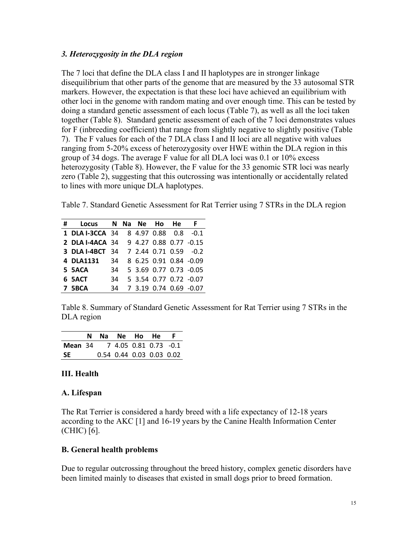#### *3. Heterozygosity in the DLA region*

The 7 loci that define the DLA class I and II haplotypes are in stronger linkage disequilibrium that other parts of the genome that are measured by the 33 autosomal STR markers. However, the expectation is that these loci have achieved an equilibrium with other loci in the genome with random mating and over enough time. This can be tested by doing a standard genetic assessment of each locus (Table 7), as well as all the loci taken together (Table 8). Standard genetic assessment of each of the 7 loci demonstrates values for F (inbreeding coefficient) that range from slightly negative to slightly positive (Table 7). The F values for each of the 7 DLA class I and II loci are all negative with values ranging from 5-20% excess of heterozygosity over HWE within the DLA region in this group of 34 dogs. The average F value for all DLA loci was 0.1 or 10% excess heterozygosity (Table 8). However, the F value for the 33 genomic STR loci was nearly zero (Table 2), suggesting that this outcrossing was intentionally or accidentally related to lines with more unique DLA haplotypes.

Table 7. Standard Genetic Assessment for Rat Terrier using 7 STRs in the DLA region

| # | <b>Locus</b>                           |    |  | N Na Ne Ho He | - F                    |
|---|----------------------------------------|----|--|---------------|------------------------|
|   | 1 DLA I-3CCA 34                        |    |  |               | 8 4.97 0.88 0.8 -0.1   |
|   | 2 DLA I-4ACA 34 9 4.27 0.88 0.77 -0.15 |    |  |               |                        |
|   | <b>3 DLA I-4BCT 34</b>                 |    |  |               | 7 2.44 0.71 0.59 -0.2  |
|   | 4 DLA1131 34                           |    |  |               | 8 6.25 0.91 0.84 -0.09 |
|   | 34<br>5 5ACA                           |    |  |               | 5 3.69 0.77 0.73 -0.05 |
|   | 6 SACT                                 | 34 |  |               | 5 3.54 0.77 0.72 -0.07 |
|   | <b>7 5BCA</b>                          | 34 |  |               | 7 3.19 0.74 0.69 -0.07 |

Table 8. Summary of Standard Genetic Assessment for Rat Terrier using 7 STRs in the DLA region

|         | N. | Na Ne Ho He              |  |  |
|---------|----|--------------------------|--|--|
| Mean 34 |    | 7 4.05 0.81 0.73 -0.1    |  |  |
| -SE     |    | 0.54 0.44 0.03 0.03 0.02 |  |  |

## **III. Health**

#### **A. Lifespan**

The Rat Terrier is considered a hardy breed with a life expectancy of 12-18 years according to the AKC [1] and 16-19 years by the Canine Health Information Center (CHIC) [6].

## **B. General health problems**

Due to regular outcrossing throughout the breed history, complex genetic disorders have been limited mainly to diseases that existed in small dogs prior to breed formation.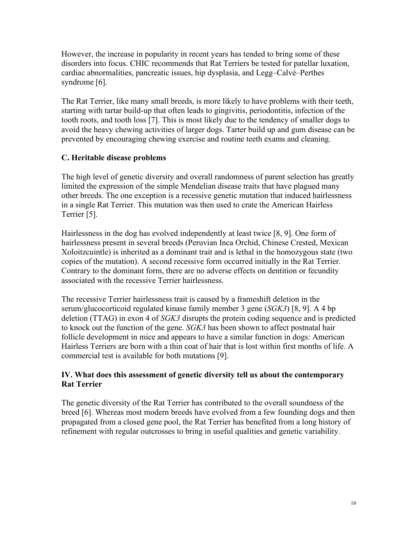However, the increase in popularity in recent years has tended to bring some of these disorders into focus. CHIC recommends that Rat Terriers be tested for patellar luxation, cardiac abnormalities, pancreatic issues, hip dysplasia, and Legg–Calvé–Perthes syndrome [6].

The Rat Terrier, like many small breeds, is more likely to have problems with their teeth, starting with tartar build-up that often leads to gingivitis, periodontitis, infection of the tooth roots, and tooth loss [7]. This is most likely due to the tendency of smaller dogs to avoid the heavy chewing activities of larger dogs. Tarter build up and gum disease can be prevented by encouraging chewing exercise and routine teeth exams and cleaning.

## **C. Heritable disease problems**

The high level of genetic diversity and overall randomness of parent selection has greatly limited the expression of the simple Mendelian disease traits that have plagued many other breeds. The one exception is a recessive genetic mutation that induced hairlessness in a single Rat Terrier. This mutation was then used to crate the American Hairless Terrier [5].

Hairlessness in the dog has evolved independently at least twice [8, 9]. One form of hairlessness present in several breeds (Peruvian Inca Orchid, Chinese Crested, Mexican Xoloitzcuintle) is inherited as a dominant trait and is lethal in the homozygous state (two copies of the mutation). A second recessive form occurred initially in the Rat Terrier. Contrary to the dominant form, there are no adverse effects on dentition or fecundity associated with the recessive Terrier hairlessness.

The recessive Terrier hairlessness trait is caused by a frameshift deletion in the serum/glucocorticoid regulated kinase family member 3 gene (*SGK3*) [8, 9]. A 4 bp deletion (TTAG) in exon 4 of *SGK3* disrupts the protein coding sequence and is predicted to knock out the function of the gene. *SGK3* has been shown to affect postnatal hair follicle development in mice and appears to have a similar function in dogs: American Hairless Terriers are born with a thin coat of hair that is lost within first months of life. A commercial test is available for both mutations [9].

## **IV. What does this assessment of genetic diversity tell us about the contemporary Rat Terrier**

The genetic diversity of the Rat Terrier has contributed to the overall soundness of the breed [6]. Whereas most modern breeds have evolved from a few founding dogs and then propagated from a closed gene pool, the Rat Terrier has benefited from a long history of refinement with regular outcrosses to bring in useful qualities and genetic variability.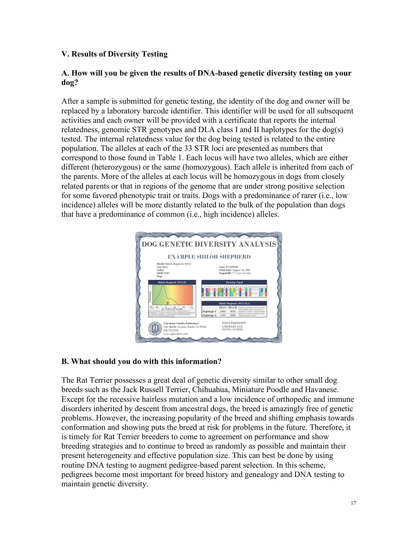## **V. Results of Diversity Testing**

#### **A. How will you be given the results of DNA-based genetic diversity testing on your dog?**

After a sample is submitted for genetic testing, the identity of the dog and owner will be replaced by a laboratory barcode identifier. This identifier will be used for all subsequent activities and each owner will be provided with a certificate that reports the internal relatedness, genomic STR genotypes and DLA class I and II haplotypes for the dog(s) tested. The internal relatedness value for the dog being tested is related to the entire population. The alleles at each of the 33 STR loci are presented as numbers that correspond to those found in Table 1. Each locus will have two alleles, which are either different (heterozygous) or the same (homozygous). Each allele is inherited from each of the parents. More of the alleles at each locus will be homozygous in dogs from closely related parents or that in regions of the genome that are under strong positive selection for some favored phenotypic trait or traits. Dogs with a predominance of rarer (i.e., low incidence) alleles will be more distantly related to the bulk of the population than dogs that have a predominance of common (i.e., high incidence) alleles.



## **B. What should you do with this information?**

The Rat Terrier possesses a great deal of genetic diversity similar to other small dog breeds such as the Jack Russell Terrier, Chihuahua, Miniature Poodle and Havanese. Except for the recessive hairless mutation and a low incidence of orthopedic and immune disorders inherited by descent from ancestral dogs, the breed is amazingly free of genetic problems. However, the increasing popularity of the breed and shifting emphasis towards conformation and showing puts the breed at risk for problems in the future. Therefore, it is timely for Rat Terrier breeders to come to agreement on performance and show breeding strategies and to continue to breed as randomly as possible and maintain their present heterogeneity and effective population size. This can best be done by using routine DNA testing to augment pedigree-based parent selection. In this scheme, pedigrees become most important for breed history and genealogy and DNA testing to maintain genetic diversity.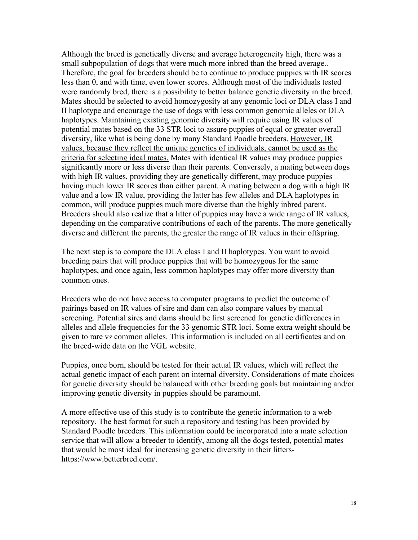Although the breed is genetically diverse and average heterogeneity high, there was a small subpopulation of dogs that were much more inbred than the breed average.. Therefore, the goal for breeders should be to continue to produce puppies with IR scores less than 0, and with time, even lower scores. Although most of the individuals tested were randomly bred, there is a possibility to better balance genetic diversity in the breed. Mates should be selected to avoid homozygosity at any genomic loci or DLA class I and II haplotype and encourage the use of dogs with less common genomic alleles or DLA haplotypes. Maintaining existing genomic diversity will require using IR values of potential mates based on the 33 STR loci to assure puppies of equal or greater overall diversity, like what is being done by many Standard Poodle breeders. However, IR values, because they reflect the unique genetics of individuals, cannot be used as the criteria for selecting ideal mates. Mates with identical IR values may produce puppies significantly more or less diverse than their parents. Conversely, a mating between dogs with high IR values, providing they are genetically different, may produce puppies having much lower IR scores than either parent. A mating between a dog with a high IR value and a low IR value, providing the latter has few alleles and DLA haplotypes in common, will produce puppies much more diverse than the highly inbred parent. Breeders should also realize that a litter of puppies may have a wide range of IR values, depending on the comparative contributions of each of the parents. The more genetically diverse and different the parents, the greater the range of IR values in their offspring.

The next step is to compare the DLA class I and II haplotypes. You want to avoid breeding pairs that will produce puppies that will be homozygous for the same haplotypes, and once again, less common haplotypes may offer more diversity than common ones.

Breeders who do not have access to computer programs to predict the outcome of pairings based on IR values of sire and dam can also compare values by manual screening. Potential sires and dams should be first screened for genetic differences in alleles and allele frequencies for the 33 genomic STR loci. Some extra weight should be given to rare v*s* common alleles. This information is included on all certificates and on the breed-wide data on the VGL website.

Puppies, once born, should be tested for their actual IR values, which will reflect the actual genetic impact of each parent on internal diversity. Considerations of mate choices for genetic diversity should be balanced with other breeding goals but maintaining and/or improving genetic diversity in puppies should be paramount.

A more effective use of this study is to contribute the genetic information to a web repository. The best format for such a repository and testing has been provided by Standard Poodle breeders. This information could be incorporated into a mate selection service that will allow a breeder to identify, among all the dogs tested, potential mates that would be most ideal for increasing genetic diversity in their littershttps://www.betterbred.com/.